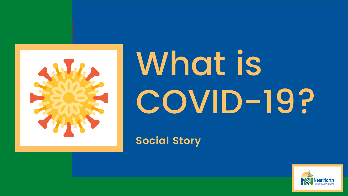

# What is





# **Social Story**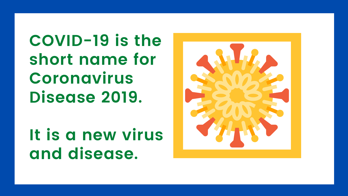**COVID-19 is the short name for Coronavirus Disease 2019.**

**It is a new virus and disease.**

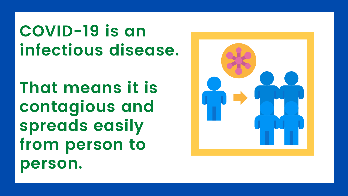# **COVID-19 is an infectious disease.**

**That means it is contagious and spreads easily from person to person.**

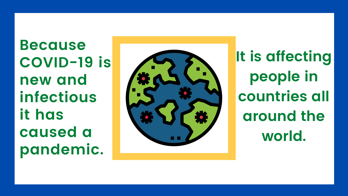**B e c a u s e C O V I D - 1 9 i s n e w a n d i n f e c t i o u s i t h a s c a u s e d a p a n d e m i c .**



It is affecting **p e o p l e i n c o u n t r i e s a l l a r o u n d t h e w o r l d .**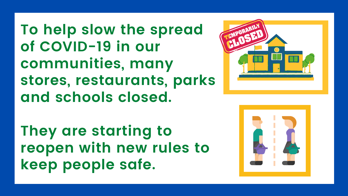**To help slow the spread of COVID-19 in our communities, many stores, restaurants, parks and schools closed.**

**They are starting to reopen with new rules to keep people safe.**



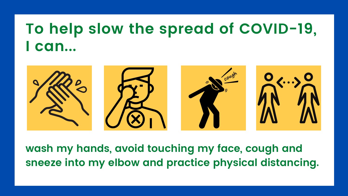# **To help slow the spread of COVID-19, I can...**



**wash my hands, avoid touching my face, cough and sneeze into my elbow and practice physical distancing.**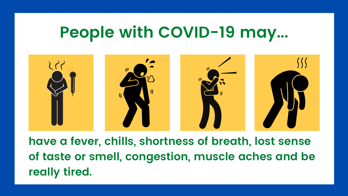# **People with COVID-19 may...**



**have a fever, chills, shortness of breath, lost sense of taste or smell, congestion, muscle aches and be really tired.**

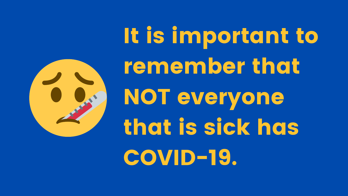# It is important to

remember that NOT everyone that is sick has COVID-19.

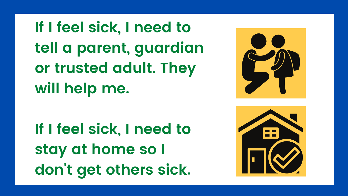**If I feel sick, I need to tell a parent, guardian or trusted adult. They will help me.**

**If I feel sick, I need to stay at home so I don 't get others sick.**